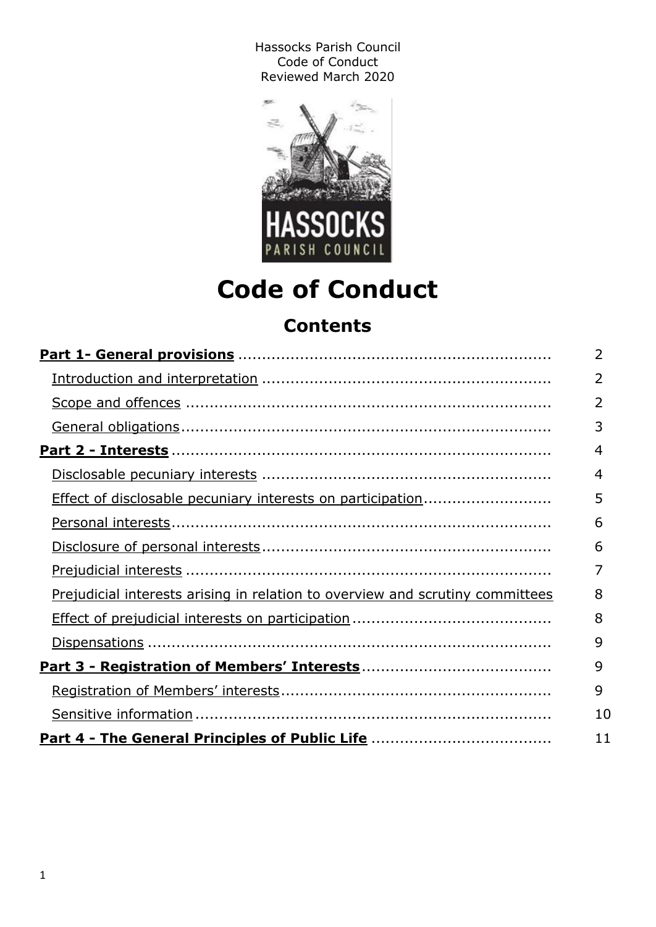

# **Code of Conduct**

## **Contents**

|                                                                               | $\overline{2}$ |
|-------------------------------------------------------------------------------|----------------|
|                                                                               | 2              |
|                                                                               | $\overline{2}$ |
|                                                                               | 3              |
|                                                                               | 4              |
|                                                                               | 4              |
|                                                                               | 5              |
|                                                                               | 6              |
|                                                                               | 6              |
|                                                                               |                |
| Prejudicial interests arising in relation to overview and scrutiny committees | 8              |
|                                                                               | 8              |
|                                                                               | 9              |
|                                                                               | 9              |
|                                                                               | 9              |
|                                                                               | 10             |
|                                                                               | 11             |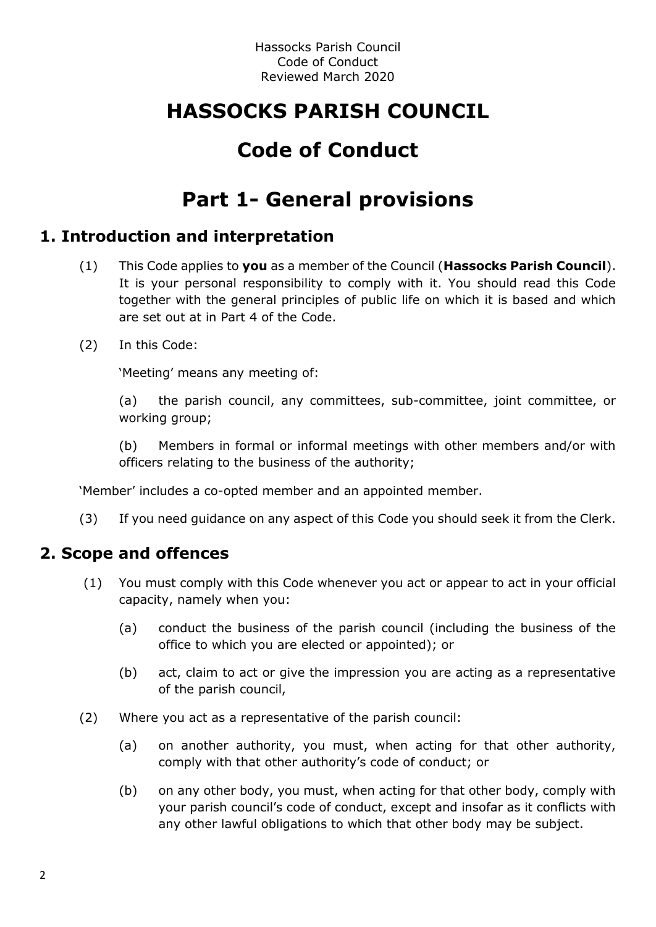## **HASSOCKS PARISH COUNCIL**

## **Code of Conduct**

## **Part 1- General provisions**

## <span id="page-1-1"></span><span id="page-1-0"></span>**1. Introduction and interpretation**

- (1) This Code applies to **you** as a member of the Council (**Hassocks Parish Council**). It is your personal responsibility to comply with it. You should read this Code together with the general principles of public life on which it is based and which are set out at in Part 4 of the Code.
- (2) In this Code:

'Meeting' means any meeting of:

(a) the parish council, any committees, sub-committee, joint committee, or working group;

(b) Members in formal or informal meetings with other members and/or with officers relating to the business of the authority;

'Member' includes a co-opted member and an appointed member.

(3) If you need guidance on any aspect of this Code you should seek it from the Clerk.

### <span id="page-1-2"></span>**2. Scope and offences**

- (1) You must comply with this Code whenever you act or appear to act in your official capacity, namely when you:
	- (a) conduct the business of the parish council (including the business of the office to which you are elected or appointed); or
	- (b) act, claim to act or give the impression you are acting as a representative of the parish council,
- (2) Where you act as a representative of the parish council:
	- (a) on another authority, you must, when acting for that other authority, comply with that other authority's code of conduct; or
	- (b) on any other body, you must, when acting for that other body, comply with your parish council's code of conduct, except and insofar as it conflicts with any other lawful obligations to which that other body may be subject.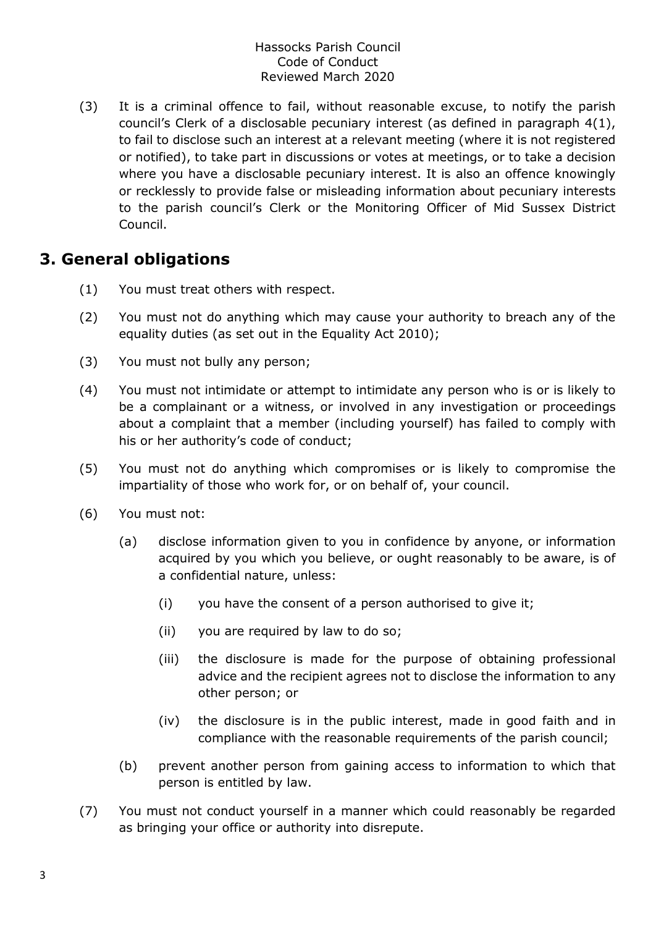(3) It is a criminal offence to fail, without reasonable excuse, to notify the parish council's Clerk of a disclosable pecuniary interest (as defined in paragraph 4(1), to fail to disclose such an interest at a relevant meeting (where it is not registered or notified), to take part in discussions or votes at meetings, or to take a decision where you have a disclosable pecuniary interest. It is also an offence knowingly or recklessly to provide false or misleading information about pecuniary interests to the parish council's Clerk or the Monitoring Officer of Mid Sussex District Council.

## <span id="page-2-0"></span>**3. General obligations**

- (1) You must treat others with respect.
- (2) You must not do anything which may cause your authority to breach any of the equality duties (as set out in the Equality Act 2010);
- (3) You must not bully any person;
- (4) You must not intimidate or attempt to intimidate any person who is or is likely to be a complainant or a witness, or involved in any investigation or proceedings about a complaint that a member (including yourself) has failed to comply with his or her authority's code of conduct;
- (5) You must not do anything which compromises or is likely to compromise the impartiality of those who work for, or on behalf of, your council.
- (6) You must not:
	- (a) disclose information given to you in confidence by anyone, or information acquired by you which you believe, or ought reasonably to be aware, is of a confidential nature, unless:
		- (i) you have the consent of a person authorised to give it;
		- (ii) you are required by law to do so;
		- (iii) the disclosure is made for the purpose of obtaining professional advice and the recipient agrees not to disclose the information to any other person; or
		- (iv) the disclosure is in the public interest, made in good faith and in compliance with the reasonable requirements of the parish council;
	- (b) prevent another person from gaining access to information to which that person is entitled by law.
- (7) You must not conduct yourself in a manner which could reasonably be regarded as bringing your office or authority into disrepute.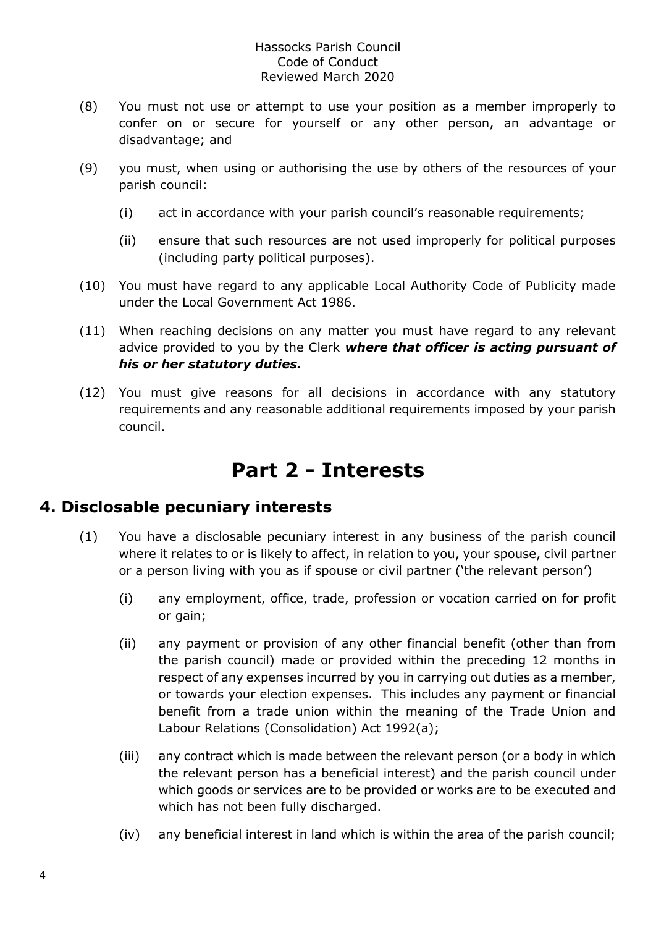- (8) You must not use or attempt to use your position as a member improperly to confer on or secure for yourself or any other person, an advantage or disadvantage; and
- (9) you must, when using or authorising the use by others of the resources of your parish council:
	- (i) act in accordance with your parish council's reasonable requirements;
	- (ii) ensure that such resources are not used improperly for political purposes (including party political purposes).
- (10) You must have regard to any applicable Local Authority Code of Publicity made under the Local Government Act 1986.
- (11) When reaching decisions on any matter you must have regard to any relevant advice provided to you by the Clerk *where that officer is acting pursuant of his or her statutory duties.*
- (12) You must give reasons for all decisions in accordance with any statutory requirements and any reasonable additional requirements imposed by your parish council.

## **Part 2 - Interests**

## <span id="page-3-1"></span><span id="page-3-0"></span>**4. Disclosable pecuniary interests**

- (1) You have a disclosable pecuniary interest in any business of the parish council where it relates to or is likely to affect, in relation to you, your spouse, civil partner or a person living with you as if spouse or civil partner ('the relevant person')
	- (i) any employment, office, trade, profession or vocation carried on for profit or gain;
	- (ii) any payment or provision of any other financial benefit (other than from the parish council) made or provided within the preceding 12 months in respect of any expenses incurred by you in carrying out duties as a member, or towards your election expenses. This includes any payment or financial benefit from a trade union within the meaning of the Trade Union and Labour Relations (Consolidation) Act 1992(a);
	- (iii) any contract which is made between the relevant person (or a body in which the relevant person has a beneficial interest) and the parish council under which goods or services are to be provided or works are to be executed and which has not been fully discharged.
	- (iv) any beneficial interest in land which is within the area of the parish council;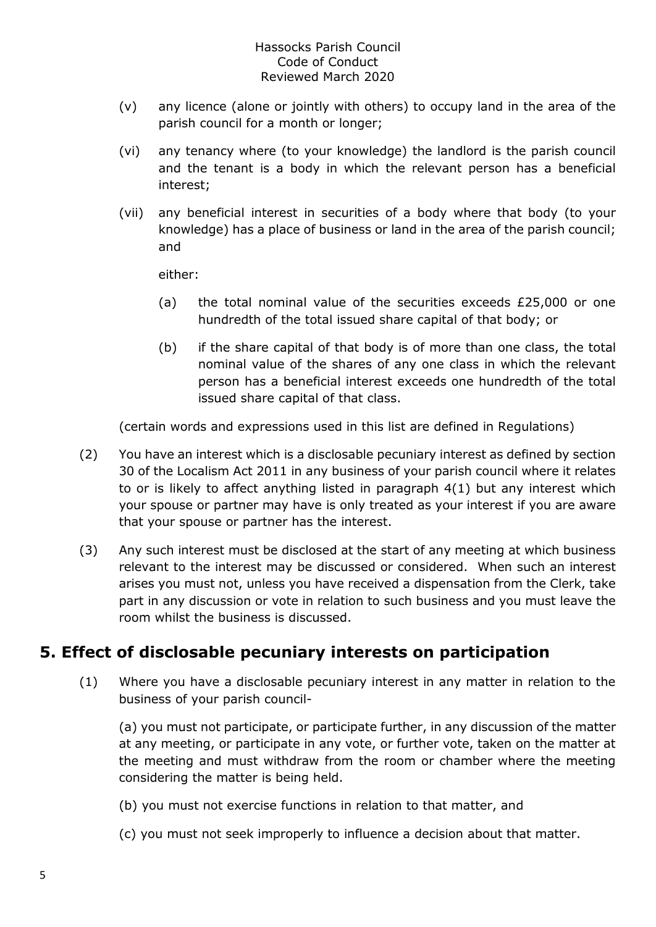- (v) any licence (alone or jointly with others) to occupy land in the area of the parish council for a month or longer;
- (vi) any tenancy where (to your knowledge) the landlord is the parish council and the tenant is a body in which the relevant person has a beneficial interest;
- (vii) any beneficial interest in securities of a body where that body (to your knowledge) has a place of business or land in the area of the parish council; and

either:

- (a) the total nominal value of the securities exceeds £25,000 or one hundredth of the total issued share capital of that body; or
- (b) if the share capital of that body is of more than one class, the total nominal value of the shares of any one class in which the relevant person has a beneficial interest exceeds one hundredth of the total issued share capital of that class.

(certain words and expressions used in this list are defined in Regulations)

- (2) You have an interest which is a disclosable pecuniary interest as defined by section 30 of the Localism Act 2011 in any business of your parish council where it relates to or is likely to affect anything listed in paragraph 4(1) but any interest which your spouse or partner may have is only treated as your interest if you are aware that your spouse or partner has the interest.
- (3) Any such interest must be disclosed at the start of any meeting at which business relevant to the interest may be discussed or considered. When such an interest arises you must not, unless you have received a dispensation from the Clerk, take part in any discussion or vote in relation to such business and you must leave the room whilst the business is discussed.

## <span id="page-4-0"></span>**5. Effect of disclosable pecuniary interests on participation**

(1) Where you have a disclosable pecuniary interest in any matter in relation to the business of your parish council-

(a) you must not participate, or participate further, in any discussion of the matter at any meeting, or participate in any vote, or further vote, taken on the matter at the meeting and must withdraw from the room or chamber where the meeting considering the matter is being held.

- (b) you must not exercise functions in relation to that matter, and
- (c) you must not seek improperly to influence a decision about that matter.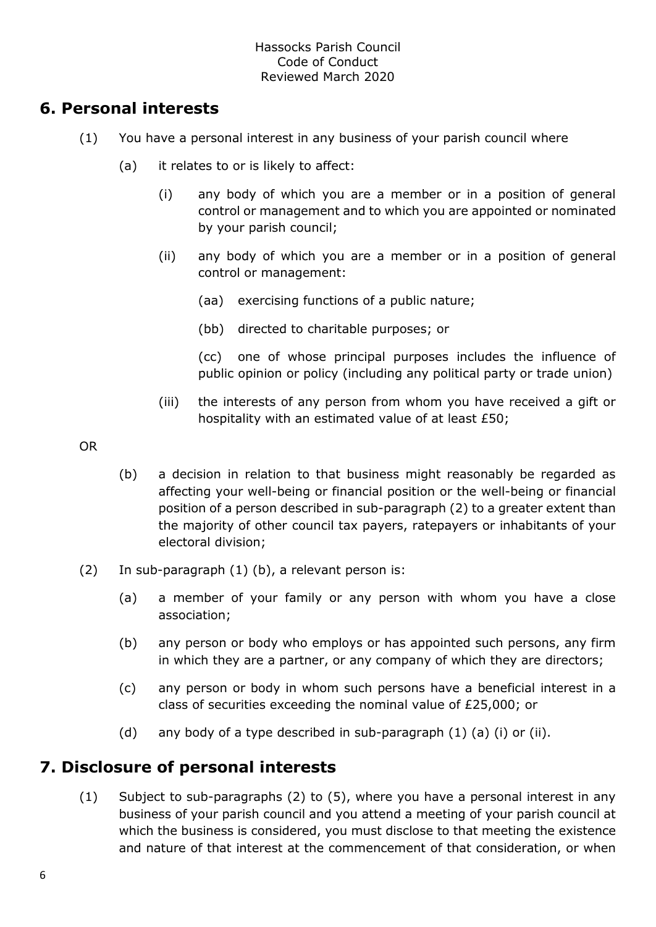### <span id="page-5-0"></span>**6. Personal interests**

- (1) You have a personal interest in any business of your parish council where
	- (a) it relates to or is likely to affect:
		- (i) any body of which you are a member or in a position of general control or management and to which you are appointed or nominated by your parish council;
		- (ii) any body of which you are a member or in a position of general control or management:
			- (aa) exercising functions of a public nature;
			- (bb) directed to charitable purposes; or

(cc) one of whose principal purposes includes the influence of public opinion or policy (including any political party or trade union)

(iii) the interests of any person from whom you have received a gift or hospitality with an estimated value of at least £50;

OR

- (b) a decision in relation to that business might reasonably be regarded as affecting your well-being or financial position or the well-being or financial position of a person described in sub-paragraph (2) to a greater extent than the majority of other council tax payers, ratepayers or inhabitants of your electoral division;
- (2) In sub-paragraph (1) (b), a relevant person is:
	- (a) a member of your family or any person with whom you have a close association;
	- (b) any person or body who employs or has appointed such persons, any firm in which they are a partner, or any company of which they are directors;
	- (c) any person or body in whom such persons have a beneficial interest in a class of securities exceeding the nominal value of £25,000; or
	- (d) any body of a type described in sub-paragraph (1) (a) (i) or (ii).

### <span id="page-5-1"></span>**7. Disclosure of personal interests**

(1) Subject to sub-paragraphs (2) to (5), where you have a personal interest in any business of your parish council and you attend a meeting of your parish council at which the business is considered, you must disclose to that meeting the existence and nature of that interest at the commencement of that consideration, or when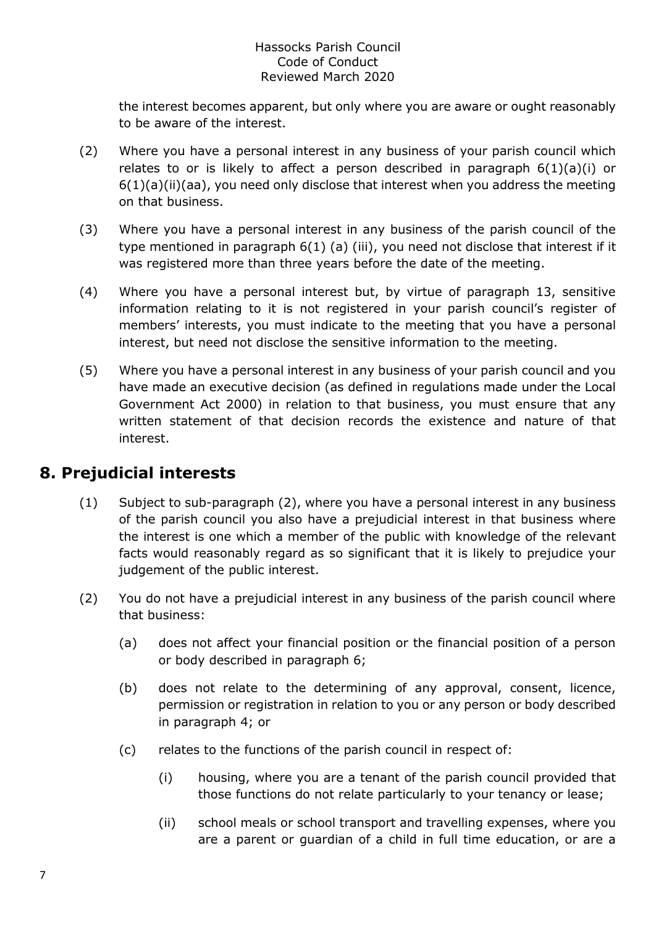the interest becomes apparent, but only where you are aware or ought reasonably to be aware of the interest.

- (2) Where you have a personal interest in any business of your parish council which relates to or is likely to affect a person described in paragraph  $6(1)(a)(i)$  or  $6(1)(a)(ii)(aa)$ , you need only disclose that interest when you address the meeting on that business.
- (3) Where you have a personal interest in any business of the parish council of the type mentioned in paragraph 6(1) (a) (iii), you need not disclose that interest if it was registered more than three years before the date of the meeting.
- (4) Where you have a personal interest but, by virtue of paragraph 13, sensitive information relating to it is not registered in your parish council's register of members' interests, you must indicate to the meeting that you have a personal interest, but need not disclose the sensitive information to the meeting.
- (5) Where you have a personal interest in any business of your parish council and you have made an executive decision (as defined in regulations made under the Local Government Act 2000) in relation to that business, you must ensure that any written statement of that decision records the existence and nature of that interest.

## <span id="page-6-0"></span>**8. Prejudicial interests**

- (1) Subject to sub-paragraph (2), where you have a personal interest in any business of the parish council you also have a prejudicial interest in that business where the interest is one which a member of the public with knowledge of the relevant facts would reasonably regard as so significant that it is likely to prejudice your judgement of the public interest.
- (2) You do not have a prejudicial interest in any business of the parish council where that business:
	- (a) does not affect your financial position or the financial position of a person or body described in paragraph 6;
	- (b) does not relate to the determining of any approval, consent, licence, permission or registration in relation to you or any person or body described in paragraph 4; or
	- (c) relates to the functions of the parish council in respect of:
		- (i) housing, where you are a tenant of the parish council provided that those functions do not relate particularly to your tenancy or lease;
		- (ii) school meals or school transport and travelling expenses, where you are a parent or guardian of a child in full time education, or are a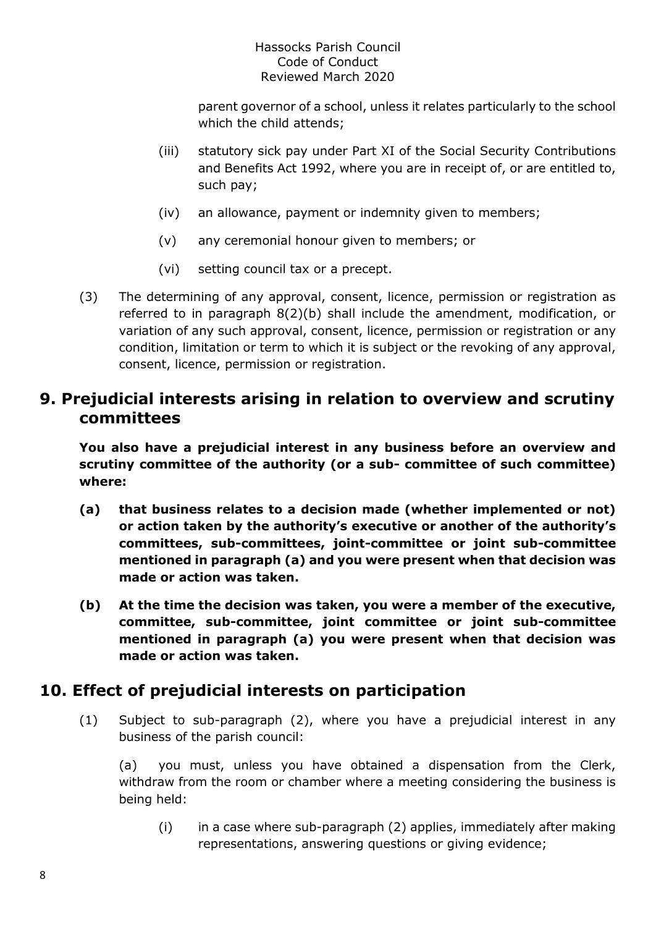parent governor of a school, unless it relates particularly to the school which the child attends;

- (iii) statutory sick pay under Part XI of the Social Security Contributions and Benefits Act 1992, where you are in receipt of, or are entitled to, such pay;
- (iv) an allowance, payment or indemnity given to members;
- (v) any ceremonial honour given to members; or
- (vi) setting council tax or a precept.
- (3) The determining of any approval, consent, licence, permission or registration as referred to in paragraph 8(2)(b) shall include the amendment, modification, or variation of any such approval, consent, licence, permission or registration or any condition, limitation or term to which it is subject or the revoking of any approval, consent, licence, permission or registration.

## <span id="page-7-0"></span>**9. Prejudicial interests arising in relation to overview and scrutiny committees**

**You also have a prejudicial interest in any business before an overview and scrutiny committee of the authority (or a sub- committee of such committee) where:**

- **(a) that business relates to a decision made (whether implemented or not) or action taken by the authority's executive or another of the authority's committees, sub-committees, joint-committee or joint sub-committee mentioned in paragraph (a) and you were present when that decision was made or action was taken.**
- **(b) At the time the decision was taken, you were a member of the executive, committee, sub-committee, joint committee or joint sub-committee mentioned in paragraph (a) you were present when that decision was made or action was taken.**

### <span id="page-7-1"></span>**10. Effect of prejudicial interests on participation**

(1) Subject to sub-paragraph (2), where you have a prejudicial interest in any business of the parish council:

(a) you must, unless you have obtained a dispensation from the Clerk, withdraw from the room or chamber where a meeting considering the business is being held:

(i) in a case where sub-paragraph (2) applies, immediately after making representations, answering questions or giving evidence;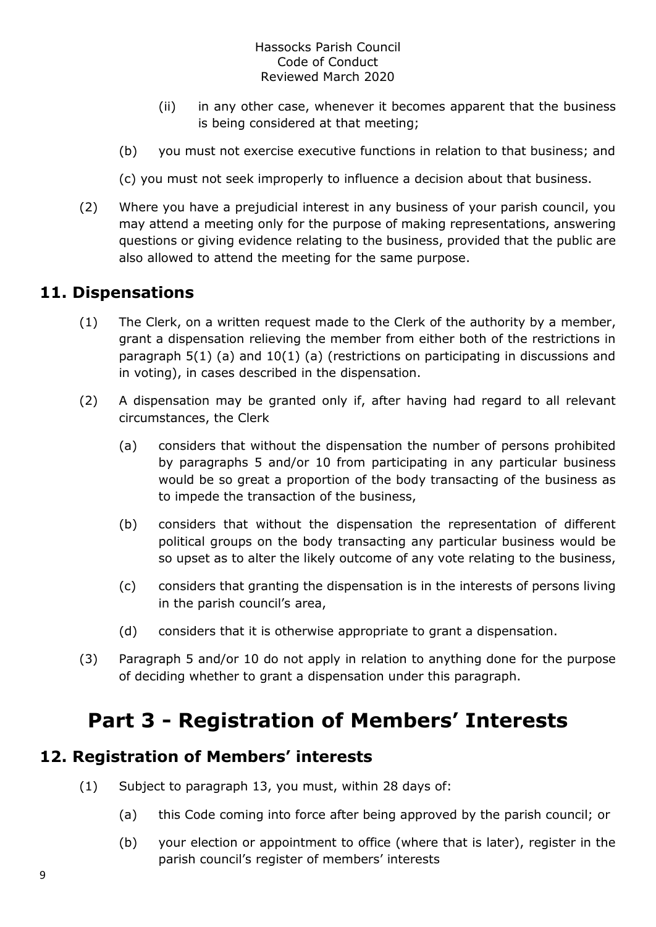- (ii) in any other case, whenever it becomes apparent that the business is being considered at that meeting;
- (b) you must not exercise executive functions in relation to that business; and
- (c) you must not seek improperly to influence a decision about that business.
- (2) Where you have a prejudicial interest in any business of your parish council, you may attend a meeting only for the purpose of making representations, answering questions or giving evidence relating to the business, provided that the public are also allowed to attend the meeting for the same purpose.

### <span id="page-8-0"></span>**11. Dispensations**

- (1) The Clerk, on a written request made to the Clerk of the authority by a member, grant a dispensation relieving the member from either both of the restrictions in paragraph 5(1) (a) and 10(1) (a) (restrictions on participating in discussions and in voting), in cases described in the dispensation.
- (2) A dispensation may be granted only if, after having had regard to all relevant circumstances, the Clerk
	- (a) considers that without the dispensation the number of persons prohibited by paragraphs 5 and/or 10 from participating in any particular business would be so great a proportion of the body transacting of the business as to impede the transaction of the business,
	- (b) considers that without the dispensation the representation of different political groups on the body transacting any particular business would be so upset as to alter the likely outcome of any vote relating to the business,
	- (c) considers that granting the dispensation is in the interests of persons living in the parish council's area,
	- (d) considers that it is otherwise appropriate to grant a dispensation.
- (3) Paragraph 5 and/or 10 do not apply in relation to anything done for the purpose of deciding whether to grant a dispensation under this paragraph.

## **Part 3 - Registration of Members' Interests**

#### <span id="page-8-2"></span><span id="page-8-1"></span>**12. Registration of Members' interests**

- (1) Subject to paragraph 13, you must, within 28 days of:
	- (a) this Code coming into force after being approved by the parish council; or
	- (b) your election or appointment to office (where that is later), register in the parish council's register of members' interests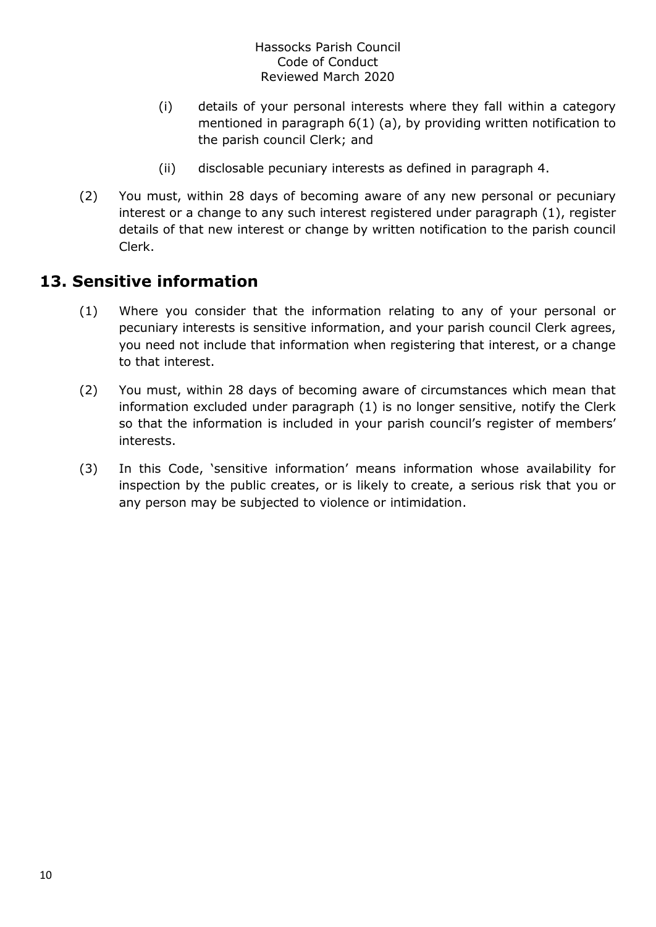- (i) details of your personal interests where they fall within a category mentioned in paragraph 6(1) (a), by providing written notification to the parish council Clerk; and
- (ii) disclosable pecuniary interests as defined in paragraph 4.
- (2) You must, within 28 days of becoming aware of any new personal or pecuniary interest or a change to any such interest registered under paragraph (1), register details of that new interest or change by written notification to the parish council Clerk.

## <span id="page-9-0"></span>**13. Sensitive information**

- (1) Where you consider that the information relating to any of your personal or pecuniary interests is sensitive information, and your parish council Clerk agrees, you need not include that information when registering that interest, or a change to that interest.
- (2) You must, within 28 days of becoming aware of circumstances which mean that information excluded under paragraph (1) is no longer sensitive, notify the Clerk so that the information is included in your parish council's register of members' interests.
- (3) In this Code, 'sensitive information' means information whose availability for inspection by the public creates, or is likely to create, a serious risk that you or any person may be subjected to violence or intimidation.